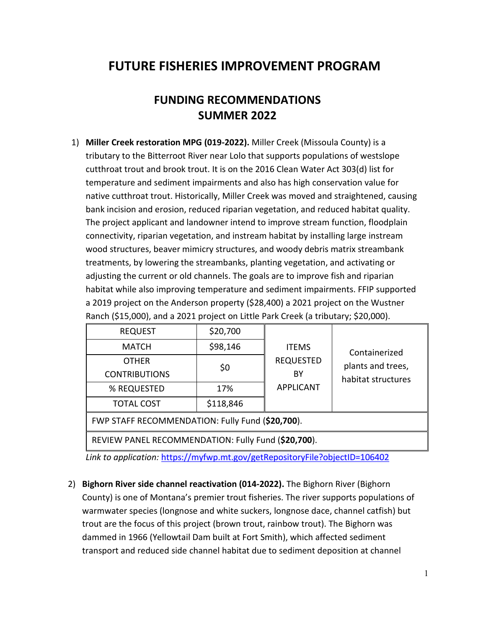## **FUTURE FISHERIES IMPROVEMENT PROGRAM**

## **FUNDING RECOMMENDATIONS SUMMER 2022**

1) **Miller Creek restoration MPG (019-2022).** Miller Creek (Missoula County) is a tributary to the Bitterroot River near Lolo that supports populations of westslope cutthroat trout and brook trout. It is on the 2016 Clean Water Act 303(d) list for temperature and sediment impairments and also has high conservation value for native cutthroat trout. Historically, Miller Creek was moved and straightened, causing bank incision and erosion, reduced riparian vegetation, and reduced habitat quality. The project applicant and landowner intend to improve stream function, floodplain connectivity, riparian vegetation, and instream habitat by installing large instream wood structures, beaver mimicry structures, and woody debris matrix streambank treatments, by lowering the streambanks, planting vegetation, and activating or adjusting the current or old channels. The goals are to improve fish and riparian habitat while also improving temperature and sediment impairments. FFIP supported a 2019 project on the Anderson property (\$28,400) a 2021 project on the Wustner Ranch (\$15,000), and a 2021 project on Little Park Creek (a tributary; \$20,000).

| <b>REQUEST</b>                                   | \$20,700  |                  |                    |  |
|--------------------------------------------------|-----------|------------------|--------------------|--|
| <b>MATCH</b>                                     | \$98,146  | <b>ITEMS</b>     | Containerized      |  |
| <b>OTHER</b>                                     |           | <b>REQUESTED</b> | plants and trees,  |  |
| <b>CONTRIBUTIONS</b>                             | \$0       | BY               | habitat structures |  |
| % REQUESTED                                      | 17%       | <b>APPLICANT</b> |                    |  |
| <b>TOTAL COST</b>                                | \$118,846 |                  |                    |  |
| $E(M)$ CTACC DECOMMENDATION: Euly Eund (620 700) |           |                  |                    |  |

FWP STAFF RECOMMENDATION: Fully Fund (**\$20,700**).

REVIEW PANEL RECOMMENDATION: Fully Fund (**\$20,700**).

*Link to application:* <https://myfwp.mt.gov/getRepositoryFile?objectID=106402>

2) **Bighorn River side channel reactivation (014-2022).** The Bighorn River (Bighorn County) is one of Montana's premier trout fisheries. The river supports populations of warmwater species (longnose and white suckers, longnose dace, channel catfish) but trout are the focus of this project (brown trout, rainbow trout). The Bighorn was dammed in 1966 (Yellowtail Dam built at Fort Smith), which affected sediment transport and reduced side channel habitat due to sediment deposition at channel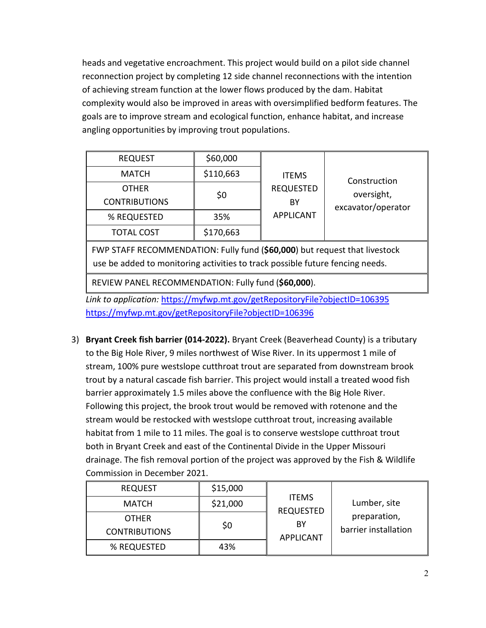heads and vegetative encroachment. This project would build on a pilot side channel reconnection project by completing 12 side channel reconnections with the intention of achieving stream function at the lower flows produced by the dam. Habitat complexity would also be improved in areas with oversimplified bedform features. The goals are to improve stream and ecological function, enhance habitat, and increase angling opportunities by improving trout populations.

| <b>REQUEST</b><br><b>MATCH</b><br><b>OTHER</b><br><b>CONTRIBUTIONS</b><br>% REQUESTED<br><b>TOTAL COST</b> | \$60,000<br>\$110,663<br>\$0<br>35%<br>\$170,663 | <b>ITEMS</b><br><b>REQUESTED</b><br>ΒY<br><b>APPLICANT</b> | Construction<br>oversight,<br>excavator/operator |
|------------------------------------------------------------------------------------------------------------|--------------------------------------------------|------------------------------------------------------------|--------------------------------------------------|
| FWP STAFF RECOMMENDATION: Fully fund (\$60,000) but request that livestock                                 |                                                  |                                                            |                                                  |

use be added to monitoring activities to track possible future fencing needs.

REVIEW PANEL RECOMMENDATION: Fully fund (**\$60,000**).

*Link to application:* <https://myfwp.mt.gov/getRepositoryFile?objectID=106395> <https://myfwp.mt.gov/getRepositoryFile?objectID=106396>

3) **Bryant Creek fish barrier (014-2022).** Bryant Creek (Beaverhead County) is a tributary to the Big Hole River, 9 miles northwest of Wise River. In its uppermost 1 mile of stream, 100% pure westslope cutthroat trout are separated from downstream brook trout by a natural cascade fish barrier. This project would install a treated wood fish barrier approximately 1.5 miles above the confluence with the Big Hole River. Following this project, the brook trout would be removed with rotenone and the stream would be restocked with westslope cutthroat trout, increasing available habitat from 1 mile to 11 miles. The goal is to conserve westslope cutthroat trout both in Bryant Creek and east of the Continental Divide in the Upper Missouri drainage. The fish removal portion of the project was approved by the Fish & Wildlife Commission in December 2021.

| <b>REQUEST</b>                       | \$15,000 |                                                            |                                      |
|--------------------------------------|----------|------------------------------------------------------------|--------------------------------------|
| <b>MATCH</b>                         | \$21,000 | <b>ITEMS</b><br><b>REQUESTED</b><br>BY<br><b>APPLICANT</b> | Lumber, site                         |
| <b>OTHER</b><br><b>CONTRIBUTIONS</b> | \$0      |                                                            | preparation,<br>barrier installation |
| % REQUESTED                          | 43%      |                                                            |                                      |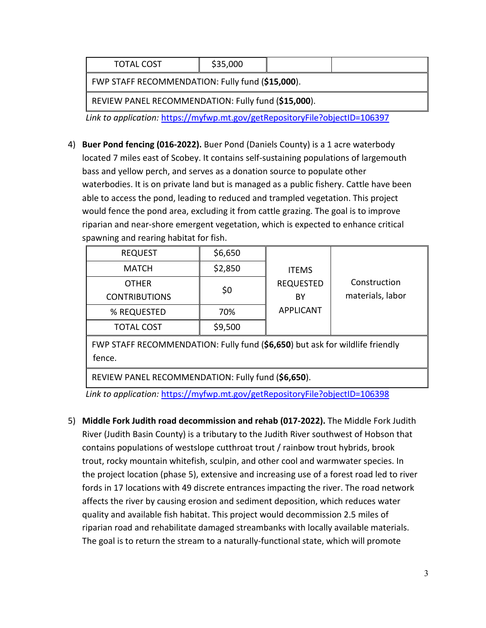| <b>TOTAL COST</b>                                   | \$35,000 |  |  |  |
|-----------------------------------------------------|----------|--|--|--|
| FWP STAFF RECOMMENDATION: Fully fund (\$15,000).    |          |  |  |  |
| REVIEW PANEL RECOMMENDATION: Fully fund (\$15,000). |          |  |  |  |

*Link to application:* <https://myfwp.mt.gov/getRepositoryFile?objectID=106397>

4) **Buer Pond fencing (016-2022).** Buer Pond (Daniels County) is a 1 acre waterbody located 7 miles east of Scobey. It contains self-sustaining populations of largemouth bass and yellow perch, and serves as a donation source to populate other waterbodies. It is on private land but is managed as a public fishery. Cattle have been able to access the pond, leading to reduced and trampled vegetation. This project would fence the pond area, excluding it from cattle grazing. The goal is to improve riparian and near-shore emergent vegetation, which is expected to enhance critical spawning and rearing habitat for fish.

| <b>REQUEST</b>       | \$6,650 |                  |                  |
|----------------------|---------|------------------|------------------|
| <b>MATCH</b>         | \$2,850 | <b>ITEMS</b>     |                  |
| <b>OTHER</b>         | \$0     | <b>REQUESTED</b> | Construction     |
| <b>CONTRIBUTIONS</b> |         | ΒY               | materials, labor |
| % REQUESTED          | 70%     | <b>APPLICANT</b> |                  |
| <b>TOTAL COST</b>    | \$9,500 |                  |                  |

FWP STAFF RECOMMENDATION: Fully fund (**\$6,650**) but ask for wildlife friendly fence.

REVIEW PANEL RECOMMENDATION: Fully fund (**\$6,650**).

*Link to application:* <https://myfwp.mt.gov/getRepositoryFile?objectID=106398>

5) **Middle Fork Judith road decommission and rehab (017-2022).** The Middle Fork Judith River (Judith Basin County) is a tributary to the Judith River southwest of Hobson that contains populations of westslope cutthroat trout / rainbow trout hybrids, brook trout, rocky mountain whitefish, sculpin, and other cool and warmwater species. In the project location (phase 5), extensive and increasing use of a forest road led to river fords in 17 locations with 49 discrete entrances impacting the river. The road network affects the river by causing erosion and sediment deposition, which reduces water quality and available fish habitat. This project would decommission 2.5 miles of riparian road and rehabilitate damaged streambanks with locally available materials. The goal is to return the stream to a naturally-functional state, which will promote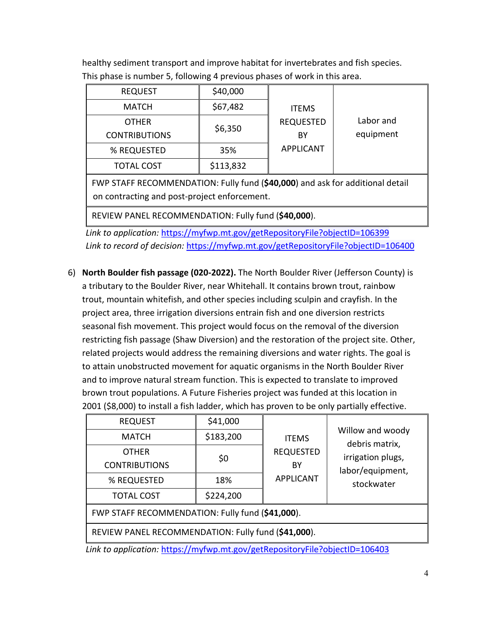healthy sediment transport and improve habitat for invertebrates and fish species. This phase is number 5, following 4 previous phases of work in this area.

| <b>REQUEST</b>       | \$40,000  |                  |           |
|----------------------|-----------|------------------|-----------|
| <b>MATCH</b>         | \$67,482  | <b>ITEMS</b>     |           |
| <b>OTHER</b>         |           | <b>REQUESTED</b> | Labor and |
| <b>CONTRIBUTIONS</b> | \$6,350   | BY               | equipment |
| % REQUESTED          | 35%       | <b>APPLICANT</b> |           |
| <b>TOTAL COST</b>    | \$113,832 |                  |           |

FWP STAFF RECOMMENDATION: Fully fund (**\$40,000**) and ask for additional detail on contracting and post-project enforcement.

REVIEW PANEL RECOMMENDATION: Fully fund (**\$40,000**).

*Link to application:* <https://myfwp.mt.gov/getRepositoryFile?objectID=106399> *Link to record of decision:* <https://myfwp.mt.gov/getRepositoryFile?objectID=106400>

6) **North Boulder fish passage (020-2022).** The North Boulder River (Jefferson County) is a tributary to the Boulder River, near Whitehall. It contains brown trout, rainbow trout, mountain whitefish, and other species including sculpin and crayfish. In the project area, three irrigation diversions entrain fish and one diversion restricts seasonal fish movement. This project would focus on the removal of the diversion restricting fish passage (Shaw Diversion) and the restoration of the project site. Other, related projects would address the remaining diversions and water rights. The goal is to attain unobstructed movement for aquatic organisms in the North Boulder River and to improve natural stream function. This is expected to translate to improved brown trout populations. A Future Fisheries project was funded at this location in 2001 (\$8,000) to install a fish ladder, which has proven to be only partially effective.

| <b>REQUEST</b>                                      | \$41,000  |                                  |                                    |  |
|-----------------------------------------------------|-----------|----------------------------------|------------------------------------|--|
| <b>MATCH</b>                                        | \$183,200 | <b>ITEMS</b><br><b>REQUESTED</b> | Willow and woody<br>debris matrix, |  |
| <b>OTHER</b>                                        | \$0       |                                  | irrigation plugs,                  |  |
| <b>CONTRIBUTIONS</b>                                |           | BY                               | labor/equipment,                   |  |
| % REQUESTED                                         | 18%       | <b>APPLICANT</b>                 | stockwater                         |  |
| <b>TOTAL COST</b>                                   | \$224,200 |                                  |                                    |  |
| FWP STAFF RECOMMENDATION: Fully fund (\$41,000).    |           |                                  |                                    |  |
| REVIEW PANEL RECOMMENDATION: Fully fund (\$41,000). |           |                                  |                                    |  |

*Link to application:* <https://myfwp.mt.gov/getRepositoryFile?objectID=106403>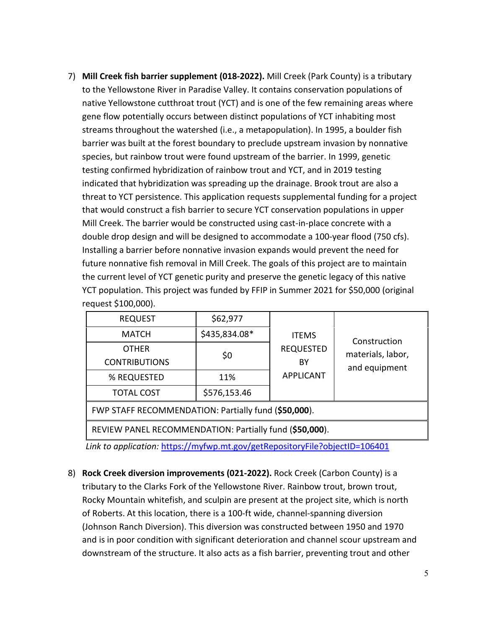7) **Mill Creek fish barrier supplement (018-2022).** Mill Creek (Park County) is a tributary to the Yellowstone River in Paradise Valley. It contains conservation populations of native Yellowstone cutthroat trout (YCT) and is one of the few remaining areas where gene flow potentially occurs between distinct populations of YCT inhabiting most streams throughout the watershed (i.e., a metapopulation). In 1995, a boulder fish barrier was built at the forest boundary to preclude upstream invasion by nonnative species, but rainbow trout were found upstream of the barrier. In 1999, genetic testing confirmed hybridization of rainbow trout and YCT, and in 2019 testing indicated that hybridization was spreading up the drainage. Brook trout are also a threat to YCT persistence. This application requests supplemental funding for a project that would construct a fish barrier to secure YCT conservation populations in upper Mill Creek. The barrier would be constructed using cast-in-place concrete with a double drop design and will be designed to accommodate a 100-year flood (750 cfs). Installing a barrier before nonnative invasion expands would prevent the need for future nonnative fish removal in Mill Creek. The goals of this project are to maintain the current level of YCT genetic purity and preserve the genetic legacy of this native YCT population. This project was funded by FFIP in Summer 2021 for \$50,000 (original request \$100,000).

| <b>REQUEST</b>                                          | \$62,977      |                  |                   |  |  |
|---------------------------------------------------------|---------------|------------------|-------------------|--|--|
| <b>MATCH</b>                                            | \$435,834.08* | <b>ITEMS</b>     | Construction      |  |  |
| <b>OTHER</b>                                            | \$0           | <b>REQUESTED</b> | materials, labor, |  |  |
| <b>CONTRIBUTIONS</b>                                    |               | ΒY               | and equipment     |  |  |
| % REQUESTED                                             | 11%           | <b>APPLICANT</b> |                   |  |  |
| <b>TOTAL COST</b>                                       | \$576,153.46  |                  |                   |  |  |
| FWP STAFF RECOMMENDATION: Partially fund (\$50,000).    |               |                  |                   |  |  |
| REVIEW PANEL RECOMMENDATION: Partially fund (\$50,000). |               |                  |                   |  |  |

*Link to application:* <https://myfwp.mt.gov/getRepositoryFile?objectID=106401>

8) **Rock Creek diversion improvements (021-2022).** Rock Creek (Carbon County) is a tributary to the Clarks Fork of the Yellowstone River. Rainbow trout, brown trout, Rocky Mountain whitefish, and sculpin are present at the project site, which is north of Roberts. At this location, there is a 100-ft wide, channel-spanning diversion (Johnson Ranch Diversion). This diversion was constructed between 1950 and 1970 and is in poor condition with significant deterioration and channel scour upstream and downstream of the structure. It also acts as a fish barrier, preventing trout and other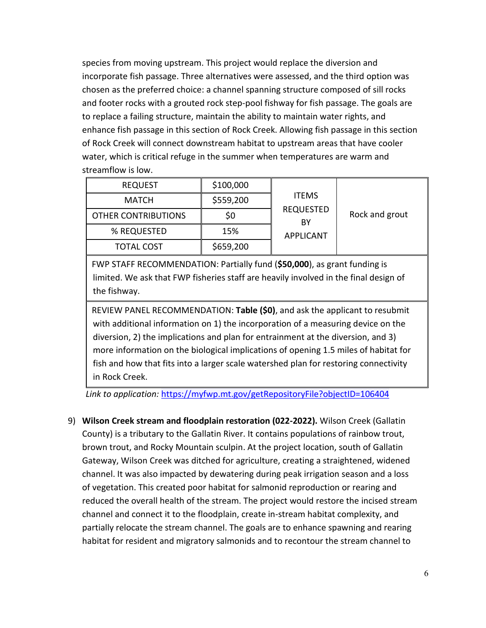species from moving upstream. This project would replace the diversion and incorporate fish passage. Three alternatives were assessed, and the third option was chosen as the preferred choice: a channel spanning structure composed of sill rocks and footer rocks with a grouted rock step-pool fishway for fish passage. The goals are to replace a failing structure, maintain the ability to maintain water rights, and enhance fish passage in this section of Rock Creek. Allowing fish passage in this section of Rock Creek will connect downstream habitat to upstream areas that have cooler water, which is critical refuge in the summer when temperatures are warm and streamflow is low.

| <b>REQUEST</b>             | \$100,000 |                                                            |                |
|----------------------------|-----------|------------------------------------------------------------|----------------|
| <b>MATCH</b>               | \$559,200 | <b>ITEMS</b><br><b>REQUESTED</b><br>BY<br><b>APPLICANT</b> |                |
| <b>OTHER CONTRIBUTIONS</b> | \$0       |                                                            | Rock and grout |
| % REQUESTED                | 15%       |                                                            |                |
| <b>TOTAL COST</b>          | \$659,200 |                                                            |                |

FWP STAFF RECOMMENDATION: Partially fund (**\$50,000**), as grant funding is limited. We ask that FWP fisheries staff are heavily involved in the final design of the fishway.

REVIEW PANEL RECOMMENDATION: **Table (\$0)**, and ask the applicant to resubmit with additional information on 1) the incorporation of a measuring device on the diversion, 2) the implications and plan for entrainment at the diversion, and 3) more information on the biological implications of opening 1.5 miles of habitat for fish and how that fits into a larger scale watershed plan for restoring connectivity in Rock Creek.

*Link to application:* <https://myfwp.mt.gov/getRepositoryFile?objectID=106404>

9) **Wilson Creek stream and floodplain restoration (022-2022).** Wilson Creek (Gallatin County) is a tributary to the Gallatin River. It contains populations of rainbow trout, brown trout, and Rocky Mountain sculpin. At the project location, south of Gallatin Gateway, Wilson Creek was ditched for agriculture, creating a straightened, widened channel. It was also impacted by dewatering during peak irrigation season and a loss of vegetation. This created poor habitat for salmonid reproduction or rearing and reduced the overall health of the stream. The project would restore the incised stream channel and connect it to the floodplain, create in-stream habitat complexity, and partially relocate the stream channel. The goals are to enhance spawning and rearing habitat for resident and migratory salmonids and to recontour the stream channel to